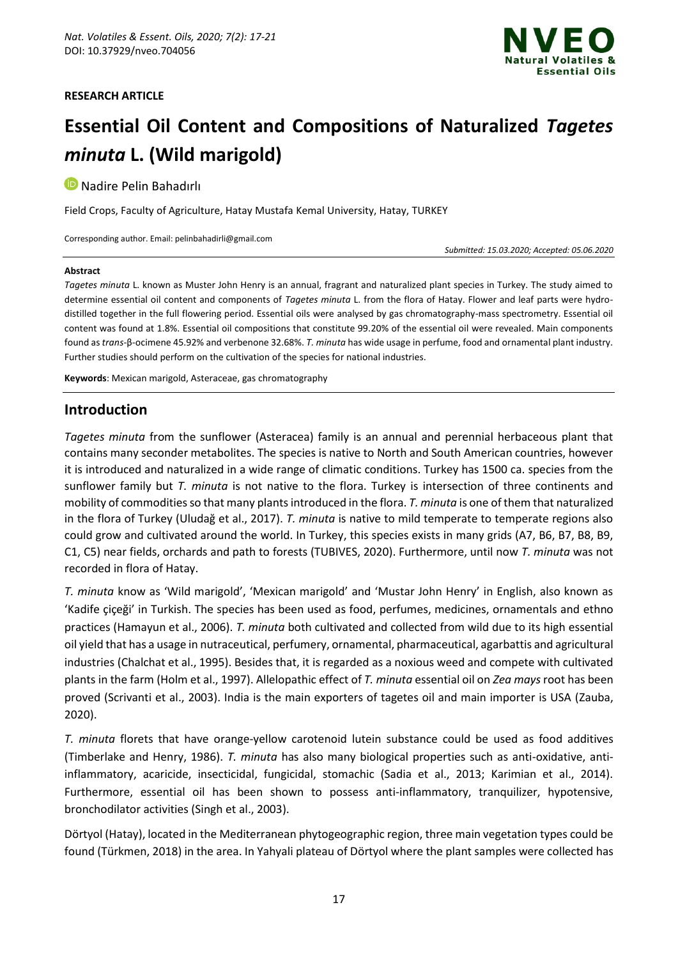#### **RESEARCH ARTICLE**



# **Essential Oil Content and Compositions of Naturalized** *Tagetes minuta* **L. (Wild marigold)**

**D** Nadire Pelin Bahadırlı

Field Crops, Faculty of Agriculture, Hatay Mustafa Kemal University, Hatay, TURKEY

Corresponding author. Email: pelinbahadirli@gmail.com

*Submitted: 15.03.2020; Accepted: 05.06.2020*

#### **Abstract**

*Tagetes minuta* L. known as Muster John Henry is an annual, fragrant and naturalized plant species in Turkey. The study aimed to determine essential oil content and components of *Tagetes minuta* L. from the flora of Hatay. Flower and leaf parts were hydrodistilled together in the full flowering period. Essential oils were analysed by gas chromatography-mass spectrometry. Essential oil content was found at 1.8%. Essential oil compositions that constitute 99.20% of the essential oil were revealed. Main components found as *trans*-β-ocimene 45.92% and verbenone 32.68%. *T. minuta* has wide usage in perfume, food and ornamental plant industry. Further studies should perform on the cultivation of the species for national industries.

**Keywords**: Mexican marigold, Asteraceae, gas chromatography

# **Introduction**

*Tagetes minuta* from the sunflower (Asteracea) family is an annual and perennial herbaceous plant that contains many seconder metabolites. The species is native to North and South American countries, however it is introduced and naturalized in a wide range of climatic conditions. Turkey has 1500 ca. species from the sunflower family but *T. minuta* is not native to the flora. Turkey is intersection of three continents and mobility of commodities so that many plants introduced in the flora. *T. minuta* is one of them that naturalized in the flora of Turkey (Uludağ et al., 2017). *T. minuta* is native to mild temperate to temperate regions also could grow and cultivated around the world. In Turkey, this species exists in many grids (A7, B6, B7, B8, B9, C1, C5) near fields, orchards and path to forests (TUBIVES, 2020). Furthermore, until now *T. minuta* was not recorded in flora of Hatay.

*T. minuta* know as 'Wild marigold', 'Mexican marigold' and 'Mustar John Henry' in English, also known as 'Kadife çiçeği' in Turkish. The species has been used as food, perfumes, medicines, ornamentals and ethno practices (Hamayun et al., 2006). *T. minuta* both cultivated and collected from wild due to its high essential oil yield that has a usage in nutraceutical, perfumery, ornamental, pharmaceutical, agarbattis and agricultural industries (Chalchat et al., 1995). Besides that, it is regarded as a noxious weed and compete with cultivated plants in the farm (Holm et al., 1997). Allelopathic effect of *T. minuta* essential oil on *Zea mays* root has been proved (Scrivanti et al., 2003). India is the main exporters of tagetes oil and main importer is USA (Zauba, 2020).

*T. minuta* florets that have orange-yellow carotenoid lutein substance could be used as food additives (Timberlake and Henry, 1986). *T. minuta* has also many biological properties such as anti-oxidative, antiinflammatory, acaricide, insecticidal, fungicidal, stomachic (Sadia et al., 2013; Karimian et al., 2014). Furthermore, essential oil has been shown to possess anti-inflammatory, tranquilizer, hypotensive, bronchodilator activities (Singh et al., 2003).

Dörtyol (Hatay), located in the Mediterranean phytogeographic region, three main vegetation types could be found (Türkmen, 2018) in the area. In Yahyali plateau of Dörtyol where the plant samples were collected has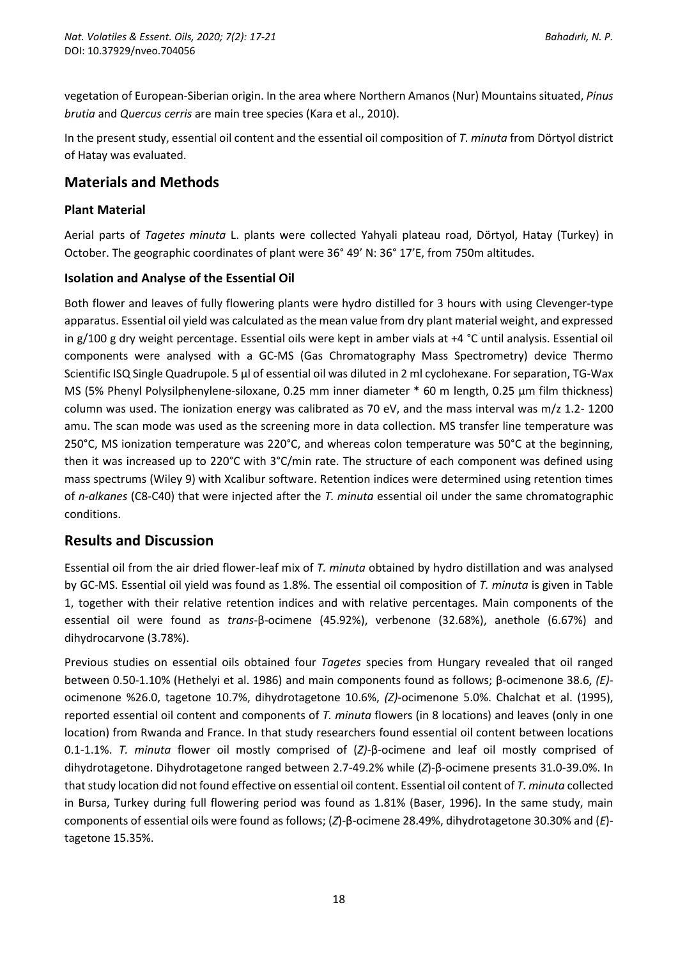vegetation of European-Siberian origin. In the area where Northern Amanos (Nur) Mountains situated, *Pinus brutia* and *Quercus cerris* are main tree species (Kara et al., 2010).

In the present study, essential oil content and the essential oil composition of *T. minuta* from Dörtyol district of Hatay was evaluated.

# **Materials and Methods**

### **Plant Material**

Aerial parts of *Tagetes minuta* L. plants were collected Yahyali plateau road, Dörtyol, Hatay (Turkey) in October. The geographic coordinates of plant were 36° 49' N: 36° 17'E, from 750m altitudes.

## **Isolation and Analyse of the Essential Oil**

Both flower and leaves of fully flowering plants were hydro distilled for 3 hours with using Clevenger-type apparatus. Essential oil yield was calculated as the mean value from dry plant material weight, and expressed in g/100 g dry weight percentage. Essential oils were kept in amber vials at +4 °C until analysis. Essential oil components were analysed with a GC-MS (Gas Chromatography Mass Spectrometry) device Thermo Scientific ISQ Single Quadrupole. 5 µl of essential oil was diluted in 2 ml cyclohexane. For separation, TG-Wax MS (5% Phenyl Polysilphenylene-siloxane, 0.25 mm inner diameter  $*$  60 m length, 0.25 µm film thickness) column was used. The ionization energy was calibrated as 70 eV, and the mass interval was m/z 1.2- 1200 amu. The scan mode was used as the screening more in data collection. MS transfer line temperature was 250°C, MS ionization temperature was 220°C, and whereas colon temperature was 50°C at the beginning, then it was increased up to 220°C with 3°C/min rate. The structure of each component was defined using mass spectrums (Wiley 9) with Xcalibur software. Retention indices were determined using retention times of *n-alkanes* (C8-C40) that were injected after the *T. minuta* essential oil under the same chromatographic conditions.

# **Results and Discussion**

Essential oil from the air dried flower-leaf mix of *T. minuta* obtained by hydro distillation and was analysed by GC-MS. Essential oil yield was found as 1.8%. The essential oil composition of *T. minuta* is given in Table 1, together with their relative retention indices and with relative percentages. Main components of the essential oil were found as *trans-*β-ocimene (45.92%), verbenone (32.68%), anethole (6.67%) and dihydrocarvone (3.78%).

Previous studies on essential oils obtained four *Tagetes* species from Hungary revealed that oil ranged between 0.50-1.10% (Hethelyi et al. 1986) and main components found as follows; β-ocimenone 38.6, *(E)* ocimenone %26.0, tagetone 10.7%, dihydrotagetone 10.6%, *(Z)-*ocimenone 5.0%. Chalchat et al. (1995), reported essential oil content and components of *T. minuta* flowers (in 8 locations) and leaves (only in one location) from Rwanda and France. In that study researchers found essential oil content between locations 0.1-1.1%. *T. minuta* flower oil mostly comprised of (*Z)-*β*-*ocimene and leaf oil mostly comprised of dihydrotagetone. Dihydrotagetone ranged between 2.7-49.2% while (*Z*)-β-ocimene presents 31.0-39.0%. In that study location did not found effective on essential oil content. Essential oil content of *T. minuta* collected in Bursa, Turkey during full flowering period was found as 1.81% (Baser, 1996). In the same study, main components of essential oils were found as follows; (*Z*)-β*-*ocimene 28.49%, dihydrotagetone 30.30% and (*E*) tagetone 15.35%.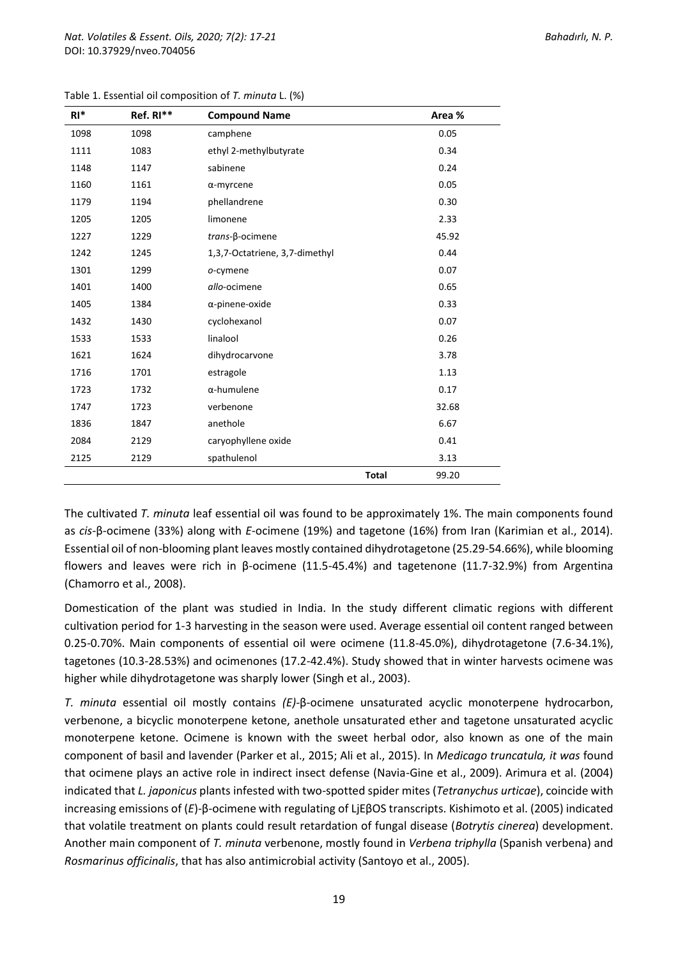| $RI^*$ | Ref. RI** | <b>Compound Name</b>           |              | Area % |
|--------|-----------|--------------------------------|--------------|--------|
| 1098   | 1098      | camphene                       |              | 0.05   |
| 1111   | 1083      | ethyl 2-methylbutyrate         |              | 0.34   |
| 1148   | 1147      | sabinene                       |              | 0.24   |
| 1160   | 1161      | $\alpha$ -myrcene              |              | 0.05   |
| 1179   | 1194      | phellandrene                   |              | 0.30   |
| 1205   | 1205      | limonene                       |              | 2.33   |
| 1227   | 1229      | trans-β-ocimene                |              | 45.92  |
| 1242   | 1245      | 1,3,7-Octatriene, 3,7-dimethyl |              | 0.44   |
| 1301   | 1299      | o-cymene                       |              | 0.07   |
| 1401   | 1400      | allo-ocimene                   |              | 0.65   |
| 1405   | 1384      | $\alpha$ -pinene-oxide         |              | 0.33   |
| 1432   | 1430      | cyclohexanol                   |              | 0.07   |
| 1533   | 1533      | linalool                       |              | 0.26   |
| 1621   | 1624      | dihydrocarvone                 |              | 3.78   |
| 1716   | 1701      | estragole                      |              | 1.13   |
| 1723   | 1732      | $\alpha$ -humulene             |              | 0.17   |
| 1747   | 1723      | verbenone                      |              | 32.68  |
| 1836   | 1847      | anethole                       |              | 6.67   |
| 2084   | 2129      | caryophyllene oxide            |              | 0.41   |
| 2125   | 2129      | spathulenol                    |              | 3.13   |
|        |           |                                | <b>Total</b> | 99.20  |

Table 1. Essential oil composition of *T. minuta* L. (%)

The cultivated *T. minuta* leaf essential oil was found to be approximately 1%. The main components found as *cis-*β-ocimene (33%) along with *E*-ocimene (19%) and tagetone (16%) from Iran (Karimian et al., 2014). Essential oil of non-blooming plant leaves mostly contained dihydrotagetone (25.29-54.66%), while blooming flowers and leaves were rich in β-ocimene (11.5-45.4%) and tagetenone (11.7-32.9%) from Argentina (Chamorro et al., 2008).

Domestication of the plant was studied in India. In the study different climatic regions with different cultivation period for 1-3 harvesting in the season were used. Average essential oil content ranged between 0.25-0.70%. Main components of essential oil were ocimene (11.8-45.0%), dihydrotagetone (7.6-34.1%), tagetones (10.3-28.53%) and ocimenones (17.2-42.4%). Study showed that in winter harvests ocimene was higher while dihydrotagetone was sharply lower (Singh et al., 2003).

*T. minuta* essential oil mostly contains *(E)-*β-ocimene unsaturated acyclic monoterpene hydrocarbon, verbenone, a bicyclic monoterpene ketone, anethole unsaturated ether and tagetone unsaturated acyclic monoterpene ketone. Ocimene is known with the sweet herbal odor, also known as one of the main component of basil and lavender (Parker et al., 2015; Ali et al., 2015). In *Medicago truncatula, it was* found that ocimene plays an active role in indirect insect defense (Navia-Gine et al., 2009). Arimura et al. (2004) indicated that *L. japonicus* plants infested with two-spotted spider mites (*Tetranychus urticae*), coincide with increasing emissions of (*E*)-β-ocimene with regulating of LjEβOS transcripts. Kishimoto et al. (2005) indicated that volatile treatment on plants could result retardation of fungal disease (*Botrytis cinerea*) development. Another main component of *T. minuta* verbenone, mostly found in *Verbena triphylla* (Spanish verbena) and *Rosmarinus officinalis*, that has also antimicrobial activity (Santoyo et al., 2005).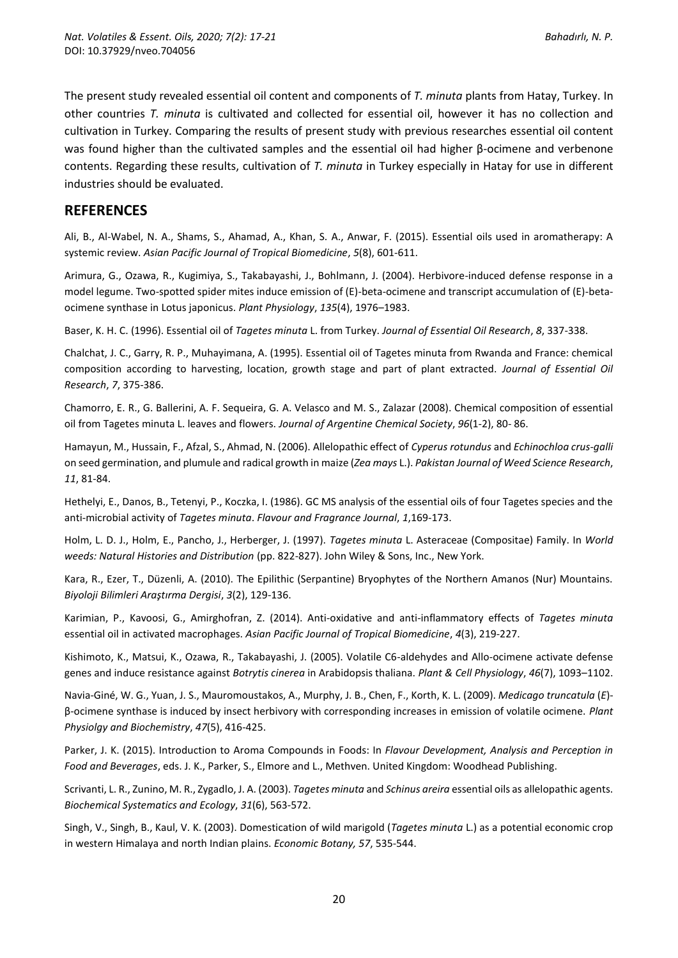The present study revealed essential oil content and components of *T. minuta* plants from Hatay, Turkey. In other countries *T. minuta* is cultivated and collected for essential oil, however it has no collection and cultivation in Turkey. Comparing the results of present study with previous researches essential oil content was found higher than the cultivated samples and the essential oil had higher β-ocimene and verbenone contents. Regarding these results, cultivation of *T. minuta* in Turkey especially in Hatay for use in different industries should be evaluated.

### **REFERENCES**

Ali, B., Al-Wabel, N. A., Shams, S., Ahamad, A., Khan, S. A., Anwar, F. (2015). Essential oils used in aromatherapy: A systemic review. *Asian Pacific Journal of Tropical Biomedicine*, *5*(8), 601-611.

Arimura, G., Ozawa, R., Kugimiya, S., Takabayashi, J., Bohlmann, J. (2004). Herbivore-induced defense response in a model legume. Two-spotted spider mites induce emission of (E)-beta-ocimene and transcript accumulation of (E)-betaocimene synthase in Lotus japonicus. *Plant Physiology*, *135*(4), 1976–1983.

Baser, K. H. C. (1996). Essential oil of *Tagetes minuta* L. from Turkey. *Journal of Essential Oil Research*, *8*, 337-338.

Chalchat, J. C., Garry, R. P., Muhayimana, A. (1995). Essential oil of Tagetes minuta from Rwanda and France: chemical composition according to harvesting, location, growth stage and part of plant extracted. *Journal of Essential Oil Research*, *7*, 375-386.

Chamorro, E. R., G. Ballerini, A. F. Sequeira, G. A. Velasco and M. S., Zalazar (2008). Chemical composition of essential oil from Tagetes minuta L. leaves and flowers. *Journal of Argentine Chemical Society*, *96*(1-2), 80- 86.

Hamayun, M., Hussain, F., Afzal, S., Ahmad, N. (2006). Allelopathic effect of *Cyperus rotundus* and *Echinochloa crus-galli* on seed germination, and plumule and radical growth in maize (*Zea mays* L.). *Pakistan Journal of Weed Science Research*, *11*, 81-84.

Hethelyi, E., Danos, B., Tetenyi, P., Koczka, I. (1986). GC MS analysis of the essential oils of four Tagetes species and the anti-microbial activity of *Tagetes minuta*. *Flavour and Fragrance Journal*, *1*,169-173.

Holm, L. D. J., Holm, E., Pancho, J., Herberger, J. (1997). *Tagetes minuta* L. Asteraceae (Compositae) Family. In *World weeds: Natural Histories and Distribution* (pp. 822-827). John Wiley & Sons, Inc., New York.

Kara, R., Ezer, T., Düzenli, A. (2010). The Epilithic (Serpantine) Bryophytes of the Northern Amanos (Nur) Mountains. *Biyoloji Bilimleri Araştırma Dergisi*, *3*(2), 129-136.

Karimian, P., Kavoosi, G., Amirghofran, Z. (2014). Anti-oxidative and anti-inflammatory effects of *Tagetes minuta* essential oil in activated macrophages. *Asian Pacific Journal of Tropical Biomedicine*, *4*(3), 219-227.

Kishimoto, K., Matsui, K., Ozawa, R., Takabayashi, J. (2005). Volatile C6-aldehydes and Allo-ocimene activate defense genes and induce resistance against *Botrytis cinerea* in Arabidopsis thaliana. *Plant & Cell Physiology*, *46*(7), 1093–1102.

Navia-Giné, W. G., Yuan, J. S., Mauromoustakos, A., Murphy, J. B., Chen, F., Korth, K. L. (2009). *Medicago truncatula* (*E*) β-ocimene synthase is induced by insect herbivory with corresponding increases in emission of volatile ocimene. *Plant Physiolgy and Biochemistry*, *47*(5), 416-425.

Parker, J. K. (2015). Introduction to Aroma Compounds in Foods: In *Flavour Development, Analysis and Perception in Food and Beverages*, eds. J. K., Parker, S., Elmore and L., Methven. United Kingdom: Woodhead Publishing.

Scrivanti, L. R., Zunino, M. R., Zygadlo, J. A. (2003). *Tagetes minuta* and *Schinus areira* essential oils as allelopathic agents. *Biochemical Systematics and Ecology*, *31*(6), 563-572.

Singh, V., Singh, B., Kaul, V. K. (2003). Domestication of wild marigold (*Tagetes minuta* L.) as a potential economic crop in western Himalaya and north Indian plains. *Economic Botany, 57*, 535-544.